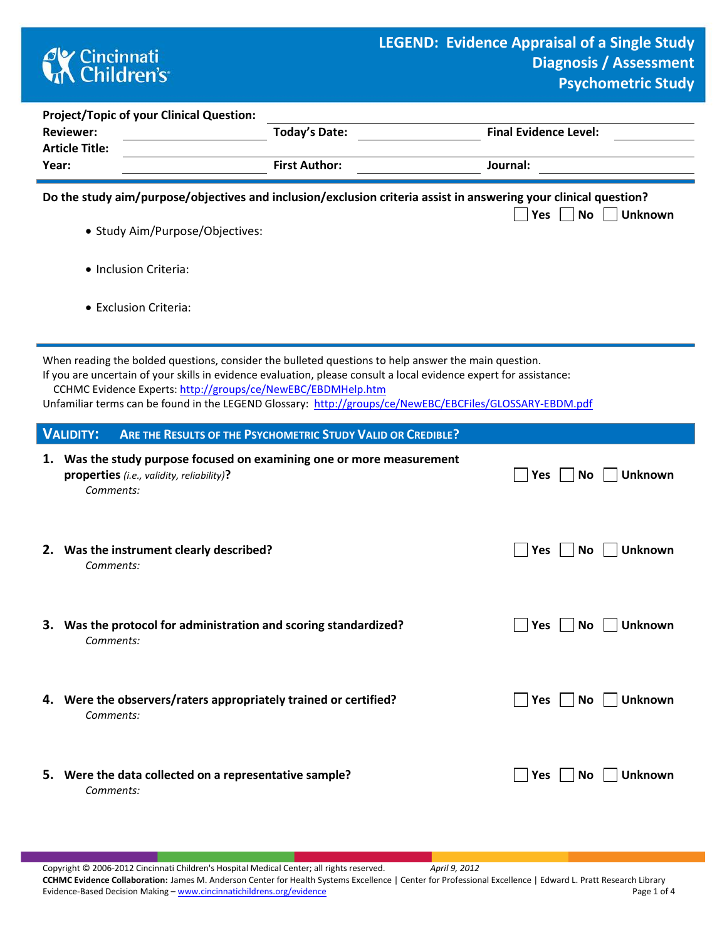## **CK** Cincinnati<br> **Children's**

ċ

|                                                                                                                                                                                    | <b>Reviewer:</b><br><b>Article Title:</b>                                                                                                                                                                                                                                                                                                                                                              | <b>Project/Topic of your Clinical Question:</b>                                                                    | <b>Today's Date:</b> | <b>Final Evidence Level:</b>       |  |  |  |  |  |  |  |
|------------------------------------------------------------------------------------------------------------------------------------------------------------------------------------|--------------------------------------------------------------------------------------------------------------------------------------------------------------------------------------------------------------------------------------------------------------------------------------------------------------------------------------------------------------------------------------------------------|--------------------------------------------------------------------------------------------------------------------|----------------------|------------------------------------|--|--|--|--|--|--|--|
| Year:                                                                                                                                                                              |                                                                                                                                                                                                                                                                                                                                                                                                        |                                                                                                                    | <b>First Author:</b> | Journal:                           |  |  |  |  |  |  |  |
| Do the study aim/purpose/objectives and inclusion/exclusion criteria assist in answering your clinical question?<br><b>No</b><br>Yes<br>Unknown<br>• Study Aim/Purpose/Objectives: |                                                                                                                                                                                                                                                                                                                                                                                                        |                                                                                                                    |                      |                                    |  |  |  |  |  |  |  |
| · Inclusion Criteria:                                                                                                                                                              |                                                                                                                                                                                                                                                                                                                                                                                                        |                                                                                                                    |                      |                                    |  |  |  |  |  |  |  |
|                                                                                                                                                                                    | • Exclusion Criteria:                                                                                                                                                                                                                                                                                                                                                                                  |                                                                                                                    |                      |                                    |  |  |  |  |  |  |  |
|                                                                                                                                                                                    | When reading the bolded questions, consider the bulleted questions to help answer the main question.<br>If you are uncertain of your skills in evidence evaluation, please consult a local evidence expert for assistance:<br>CCHMC Evidence Experts: http://groups/ce/NewEBC/EBDMHelp.htm<br>Unfamiliar terms can be found in the LEGEND Glossary: http://groups/ce/NewEBC/EBCFiles/GLOSSARY-EBDM.pdf |                                                                                                                    |                      |                                    |  |  |  |  |  |  |  |
|                                                                                                                                                                                    | <b>VALIDITY:</b>                                                                                                                                                                                                                                                                                                                                                                                       | ARE THE RESULTS OF THE PSYCHOMETRIC STUDY VALID OR CREDIBLE?                                                       |                      |                                    |  |  |  |  |  |  |  |
|                                                                                                                                                                                    | Comments:                                                                                                                                                                                                                                                                                                                                                                                              | 1. Was the study purpose focused on examining one or more measurement<br>properties (i.e., validity, reliability)? |                      | <b>Unknown</b><br>Yes<br>No        |  |  |  |  |  |  |  |
|                                                                                                                                                                                    | Comments:                                                                                                                                                                                                                                                                                                                                                                                              | 2. Was the instrument clearly described?                                                                           |                      | <b>No</b><br><b>Unknown</b><br>Yes |  |  |  |  |  |  |  |
|                                                                                                                                                                                    | Comments:                                                                                                                                                                                                                                                                                                                                                                                              | 3. Was the protocol for administration and scoring standardized?                                                   |                      | Unknown<br>Yes<br>No               |  |  |  |  |  |  |  |
|                                                                                                                                                                                    | Comments:                                                                                                                                                                                                                                                                                                                                                                                              | 4. Were the observers/raters appropriately trained or certified?                                                   |                      | Yes No Unknown                     |  |  |  |  |  |  |  |
|                                                                                                                                                                                    | Comments:                                                                                                                                                                                                                                                                                                                                                                                              | 5. Were the data collected on a representative sample?                                                             |                      | Unknown<br>Yes     No              |  |  |  |  |  |  |  |

Copyright © 2006-2012 Cincinnati Children's Hospital Medical Center; all rights reserved. *April 9, 2012* **CCHMC Evidence Collaboration:** James M. Anderson Center for Health Systems Excellence | Center for Professional Excellence | Edward L. Pratt Research Library Evidence-Based Decision Making – [www.cincinnatichildrens.org/evidence](http://www.cincinnatichildrens.org/service/j/anderson-center/evidence-based-care/legend/) Page 1 of 4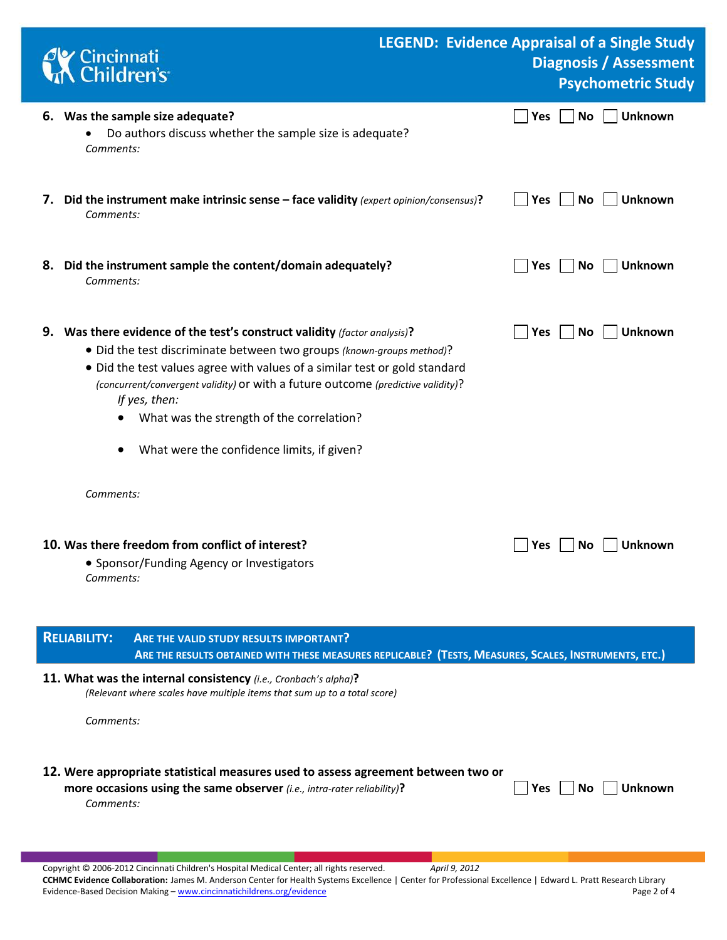|                                                                                                                                                                        | Cincinnati<br>Children's                                                                                                                                                                                                                                                                                                                                                                                                         | <b>LEGEND: Evidence Appraisal of a Single Study</b><br><b>Diagnosis / Assessment</b><br><b>Psychometric Study</b> |  |  |  |  |  |  |
|------------------------------------------------------------------------------------------------------------------------------------------------------------------------|----------------------------------------------------------------------------------------------------------------------------------------------------------------------------------------------------------------------------------------------------------------------------------------------------------------------------------------------------------------------------------------------------------------------------------|-------------------------------------------------------------------------------------------------------------------|--|--|--|--|--|--|
|                                                                                                                                                                        | 6. Was the sample size adequate?<br>Do authors discuss whether the sample size is adequate?<br>Comments:                                                                                                                                                                                                                                                                                                                         | <b>No</b><br><b>Unknown</b><br><b>Yes</b>                                                                         |  |  |  |  |  |  |
|                                                                                                                                                                        | 7. Did the instrument make intrinsic sense - face validity (expert opinion/consensus)?<br>Comments:                                                                                                                                                                                                                                                                                                                              | <b>Unknown</b><br>Yes<br>No                                                                                       |  |  |  |  |  |  |
|                                                                                                                                                                        | 8. Did the instrument sample the content/domain adequately?<br>Comments:                                                                                                                                                                                                                                                                                                                                                         | <b>Yes</b><br>No<br><b>Unknown</b>                                                                                |  |  |  |  |  |  |
|                                                                                                                                                                        | 9. Was there evidence of the test's construct validity (factor analysis)?<br>• Did the test discriminate between two groups (known-groups method)?<br>• Did the test values agree with values of a similar test or gold standard<br>(concurrent/convergent validity) or with a future outcome (predictive validity)?<br>If yes, then:<br>What was the strength of the correlation?<br>What were the confidence limits, if given? | Unknown<br>Yes<br>No                                                                                              |  |  |  |  |  |  |
|                                                                                                                                                                        | Comments:<br>10. Was there freedom from conflict of interest?<br>• Sponsor/Funding Agency or Investigators<br>Comments:                                                                                                                                                                                                                                                                                                          | Unknown<br><b>Yes</b><br>No.                                                                                      |  |  |  |  |  |  |
| <b>RELIABILITY:</b><br>ARE THE VALID STUDY RESULTS IMPORTANT?<br>ARE THE RESULTS OBTAINED WITH THESE MEASURES REPLICABLE? (TESTS, MEASURES, SCALES, INSTRUMENTS, ETC.) |                                                                                                                                                                                                                                                                                                                                                                                                                                  |                                                                                                                   |  |  |  |  |  |  |
|                                                                                                                                                                        | 11. What was the internal consistency (i.e., Cronbach's alpha)?<br>(Relevant where scales have multiple items that sum up to a total score)<br>Comments:                                                                                                                                                                                                                                                                         |                                                                                                                   |  |  |  |  |  |  |
|                                                                                                                                                                        | 12. Were appropriate statistical measures used to assess agreement between two or<br>more occasions using the same observer (i.e., intra-rater reliability)?<br>Comments:                                                                                                                                                                                                                                                        | <b>Unknown</b><br>Yes<br>No.                                                                                      |  |  |  |  |  |  |

Copyright © 2006-2012 Cincinnati Children's Hospital Medical Center; all rights reserved. *April 9, 2012* **CCHMC Evidence Collaboration:** James M. Anderson Center for Health Systems Excellence | Center for Professional Excellence | Edward L. Pratt Research Library Evidence-Based Decision Making - [www.cincinnatichildrens.org/evidence](http://www.cincinnatichildrens.org/service/j/anderson-center/evidence-based-care/legend/)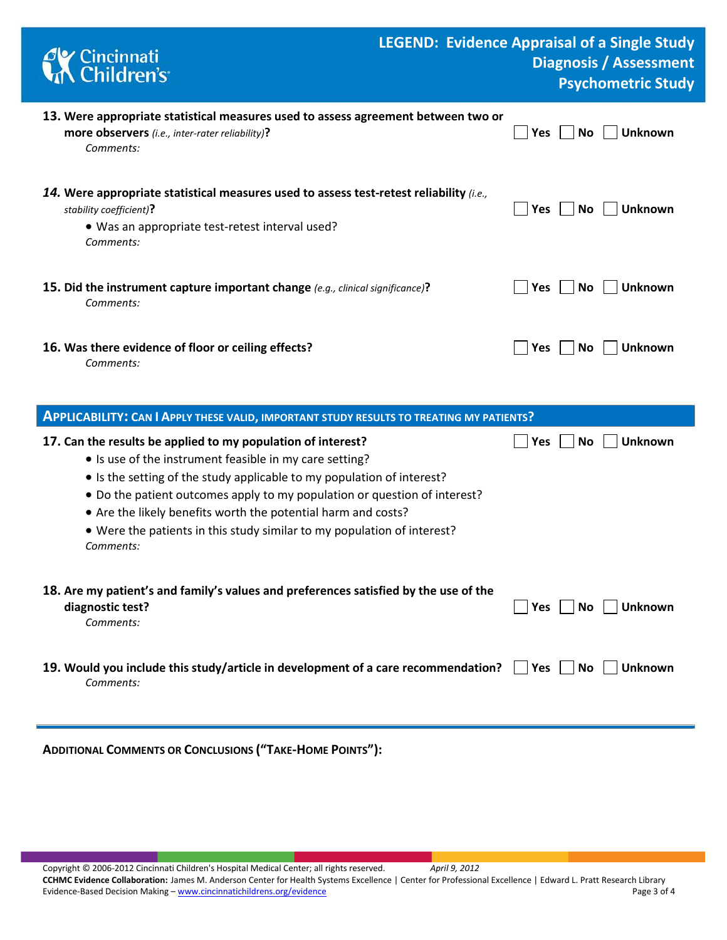| Cincinnati<br>KChildren's                                                                                                                                                                                                                                                                                                                                                                                                               | <b>LEGEND: Evidence Appraisal of a Single Study</b><br><b>Diagnosis / Assessment</b><br><b>Psychometric Study</b> |
|-----------------------------------------------------------------------------------------------------------------------------------------------------------------------------------------------------------------------------------------------------------------------------------------------------------------------------------------------------------------------------------------------------------------------------------------|-------------------------------------------------------------------------------------------------------------------|
| 13. Were appropriate statistical measures used to assess agreement between two or<br>more observers (i.e., inter-rater reliability)?<br>Comments:                                                                                                                                                                                                                                                                                       | <b>Unknown</b><br><b>No</b><br>Yes                                                                                |
| 14. Were appropriate statistical measures used to assess test-retest reliability $(i.e.,$<br>stability coefficient)?<br>• Was an appropriate test-retest interval used?<br>Comments:                                                                                                                                                                                                                                                    | Yes<br>No<br><b>Unknown</b>                                                                                       |
| 15. Did the instrument capture important change (e.g., clinical significance)?<br>Comments:                                                                                                                                                                                                                                                                                                                                             | <b>No</b><br><b>Unknown</b><br> Yes                                                                               |
| 16. Was there evidence of floor or ceiling effects?<br>Comments:                                                                                                                                                                                                                                                                                                                                                                        | <b>Unknown</b><br>Yes<br>No                                                                                       |
| <b>APPLICABILITY: CAN I APPLY THESE VALID, IMPORTANT STUDY RESULTS TO TREATING MY PATIENTS?</b>                                                                                                                                                                                                                                                                                                                                         |                                                                                                                   |
| 17. Can the results be applied to my population of interest?<br>• Is use of the instrument feasible in my care setting?<br>• Is the setting of the study applicable to my population of interest?<br>. Do the patient outcomes apply to my population or question of interest?<br>• Are the likely benefits worth the potential harm and costs?<br>• Were the patients in this study similar to my population of interest?<br>Comments: | <b>No</b><br><b>Unknown</b><br>Yes                                                                                |
| 18. Are my patient's and family's values and preferences satisfied by the use of the<br>diagnostic test?<br>Comments:                                                                                                                                                                                                                                                                                                                   | <b>Unknown</b><br>Yes<br>No.                                                                                      |
| 19. Would you include this study/article in development of a care recommendation?<br>Comments:                                                                                                                                                                                                                                                                                                                                          | <b>Unknown</b><br>$\vert$   Yes<br><b>No</b>                                                                      |

**ADDITIONAL COMMENTS OR CONCLUSIONS ("TAKE-HOME POINTS"):**